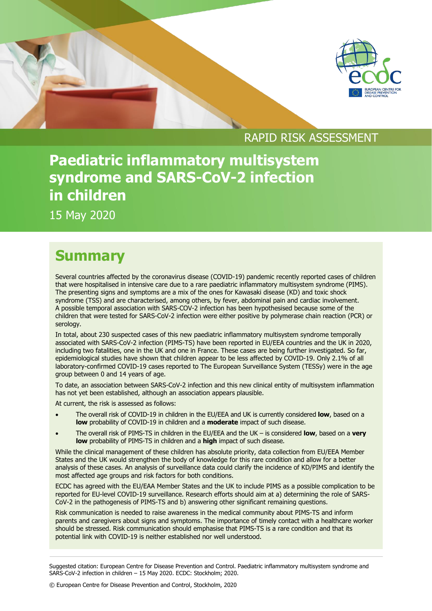

## RAPID RISK ASSESSMENT

## **Paediatric inflammatory multisystem syndrome and SARS-CoV-2 infection in children**

15 May 2020

## **Summary**

Several countries affected by the coronavirus disease (COVID-19) pandemic recently reported cases of children that were hospitalised in intensive care due to a rare paediatric inflammatory multisystem syndrome (PIMS). The presenting signs and symptoms are a mix of the ones for Kawasaki disease (KD) and toxic shock syndrome (TSS) and are characterised, among others, by fever, abdominal pain and cardiac involvement. A possible temporal association with SARS-COV-2 infection has been hypothesised because some of the children that were tested for SARS-CoV-2 infection were either positive by polymerase chain reaction (PCR) or serology.

In total, about 230 suspected cases of this new paediatric inflammatory multisystem syndrome temporally associated with SARS-CoV-2 infection (PIMS-TS) have been reported in EU/EEA countries and the UK in 2020, including two fatalities, one in the UK and one in France. These cases are being further investigated. So far, epidemiological studies have shown that children appear to be less affected by COVID-19. Only 2.1% of all laboratory-confirmed COVID-19 cases reported to The European Surveillance System (TESSy) were in the age group between 0 and 14 years of age.

To date, an association between SARS-CoV-2 infection and this new clinical entity of multisystem inflammation has not yet been established, although an association appears plausible.

At current, the risk is assessed as follows:

- The overall risk of COVID-19 in children in the EU/EEA and UK is currently considered **low**, based on a **low** probability of COVID-19 in children and a **moderate** impact of such disease.
- The overall risk of PIMS-TS in children in the EU/EEA and the UK is considered **low**, based on a **very low** probability of PIMS-TS in children and a **high** impact of such disease.

While the clinical management of these children has absolute priority, data collection from EU/EEA Member States and the UK would strengthen the body of knowledge for this rare condition and allow for a better analysis of these cases. An analysis of surveillance data could clarify the incidence of KD/PIMS and identify the most affected age groups and risk factors for both conditions.

ECDC has agreed with the EU/EAA Member States and the UK to include PIMS as a possible complication to be reported for EU-level COVID-19 surveillance. Research efforts should aim at a) determining the role of SARS-CoV-2 in the pathogenesis of PIMS-TS and b) answering other significant remaining questions.

Risk communication is needed to raise awareness in the medical community about PIMS-TS and inform parents and caregivers about signs and symptoms. The importance of timely contact with a healthcare worker should be stressed. Risk communication should emphasise that PIMS-TS is a rare condition and that its potential link with COVID-19 is neither established nor well understood.

Suggested citation: European Centre for Disease Prevention and Control. Paediatric inflammatory multisystem syndrome and SARS-CoV-2 infection in children – 15 May 2020. ECDC: Stockholm; 2020.

<sup>©</sup> European Centre for Disease Prevention and Control, Stockholm, 2020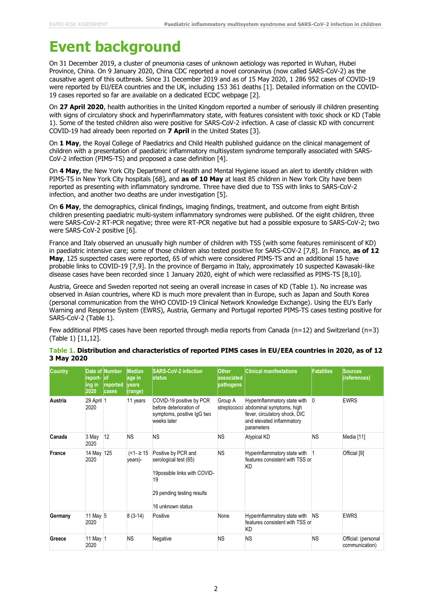## **Event background**

On 31 December 2019, a cluster of pneumonia cases of unknown aetiology was reported in Wuhan, Hubei Province, China. On 9 January 2020, China CDC reported a novel coronavirus (now called SARS-CoV-2) as the causative agent of this outbreak. Since 31 December 2019 and as of 15 May 2020, 1 286 952 cases of COVID-19 were reported by EU/EEA countries and the UK, including 153 361 deaths [1]. Detailed information on the COVID-19 cases reported so far are available on a dedicated ECDC webpage [2].

On **27 April 2020**, health authorities in the United Kingdom reported a number of seriously ill children presenting with signs of circulatory shock and hyperinflammatory state, with features consistent with toxic shock or KD (Table 1). Some of the tested children also were positive for SARS-CoV-2 infection. A case of classic KD with concurrent COVID-19 had already been reported on **7 April** in the United States [3].

On **1 May**, the Royal College of Paediatrics and Child Health published guidance on the clinical management of children with a presentation of paediatric inflammatory multisystem syndrome temporally associated with SARS-CoV-2 infection (PIMS-TS) and proposed a case definition [4].

On **4 May**, the New York City Department of Health and Mental Hygiene issued an alert to identify children with PIMS-TS in New York City hospitals [68], and **as of 10 May** at least 85 children in New York City have been reported as presenting with inflammatory syndrome. Three have died due to TSS with links to SARS-CoV-2 infection, and another two deaths are under investigation [5].

On **6 May**, the demographics, clinical findings, imaging findings, treatment, and outcome from eight British children presenting paediatric multi-system inflammatory syndromes were published. Of the eight children, three were SARS-CoV-2 RT-PCR negative; three were RT-PCR negative but had a possible exposure to SARS-CoV-2; two were SARS-CoV-2 positive [6].

France and Italy observed an unusually high number of children with TSS (with some features reminiscent of KD) in paediatric intensive care; some of those children also tested positive for SARS-COV-2 [7,8]. In France, **as of 12 May**, 125 suspected cases were reported, 65 of which were considered PIMS-TS and an additional 15 have probable links to COVID-19 [7,9]. In the province of Bergamo in Italy, approximately 10 suspected Kawasaki-like disease cases have been recorded since 1 January 2020, eight of which were reclassified as PIMS-TS [8,10].

Austria, Greece and Sweden reported not seeing an overall increase in cases of KD (Table 1). No increase was observed in Asian countries, where KD is much more prevalent than in Europe, such as Japan and South Korea (personal communication from the WHO COVID-19 Clinical Network Knowledge Exchange). Using the EU's Early Warning and Response System (EWRS), Austria, Germany and Portugal reported PIMS-TS cases testing positive for SARS-CoV-2 (Table 1).

Few additional PIMS cases have been reported through media reports from Canada (n=12) and Switzerland (n=3) (Table 1) [11,12].

| <b>Country</b> | report- lof<br>ing in<br>2020 | Date of Number<br>reported<br>cases | Median<br>age in<br><b>vears</b><br>(range) | <b>SARS-CoV-2 infection</b><br>Istatus                                                                                                | <b>Other</b><br>associated<br>pathogens | <b>Clinical manifestations</b>                                                                                                       | <b>Fatalities</b> | <b>Sources</b><br>(references)        |
|----------------|-------------------------------|-------------------------------------|---------------------------------------------|---------------------------------------------------------------------------------------------------------------------------------------|-----------------------------------------|--------------------------------------------------------------------------------------------------------------------------------------|-------------------|---------------------------------------|
| Austria        | 29 April 1<br>2020            |                                     | 11 years                                    | COVID-19 positive by PCR<br>before deterioration of<br>symptoms, positive IgG two<br>weeks later                                      | Group A<br>streptococci                 | Hyperinflammatory state with<br>abdominal symptoms, high<br>fever, circulatory shock, DIC<br>and elevated inflammatory<br>parameters |                   | <b>EWRS</b>                           |
| Canada         | 3 May<br>2020                 | 12                                  | <b>NS</b>                                   | <b>NS</b>                                                                                                                             | <b>NS</b>                               | <b>Atypical KD</b>                                                                                                                   | <b>NS</b>         | Media [11]                            |
| France         | 14 May 125<br>2020            |                                     | $\leq 1$ - ≥ 15<br>years)-                  | Positive by PCR and<br>serological test (65)<br>19possible links with COVID-<br>19<br>29 pending testing results<br>16 unknown status | <b>NS</b>                               | Hyperinflammatory state with<br>features consistent with TSS or<br><b>KD</b>                                                         |                   | Official [9]                          |
| Germany        | 11 May 5<br>2020              |                                     | $8(3-14)$                                   | Positive                                                                                                                              | None                                    | Hyperinflammatory state with<br>features consistent with TSS or<br><b>KD</b>                                                         | <b>NS</b>         | <b>EWRS</b>                           |
| Greece         | 11 May 1<br>2020              |                                     | <b>NS</b>                                   | Negative                                                                                                                              | ΝS                                      | <b>NS</b>                                                                                                                            | <b>NS</b>         | Official: (personal<br>communication) |

#### **Table 1. Distribution and characteristics of reported PIMS cases in EU/EEA countries in 2020, as of 12 3 May 2020**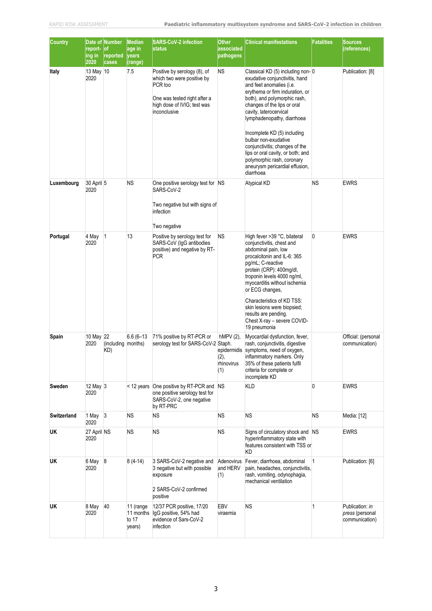| <b>Country</b>     | report-<br>ing in<br>2020 | Date of Number<br><b>of</b><br>reported<br>cases | <b>Median</b><br>age in<br>years<br>(range) | <b>SARS-CoV-2 infection</b><br><b>status</b>                                                                                                         | <b>Other</b><br>associated<br>pathogens                 | <b>Clinical manifestations</b>                                                                                                                                                                                                                                                                                                                                                                                                                                      | <b>Fatalities</b> | <b>Sources</b><br>(references)                       |
|--------------------|---------------------------|--------------------------------------------------|---------------------------------------------|------------------------------------------------------------------------------------------------------------------------------------------------------|---------------------------------------------------------|---------------------------------------------------------------------------------------------------------------------------------------------------------------------------------------------------------------------------------------------------------------------------------------------------------------------------------------------------------------------------------------------------------------------------------------------------------------------|-------------------|------------------------------------------------------|
| Italy              | 13 May 10<br>2020         |                                                  | 7.5                                         | Positive by serology (8), of<br>which two were positive by<br>PCR too<br>One was tested right after a<br>high dose of IVIG; test was<br>inconclusive | ΝS                                                      | Classical KD (5) including non-0<br>exudative conjunctivitis, hand<br>and feet anomalies (i.e.<br>erythema or firm induration, or<br>both), and polymorphic rash,<br>changes of the lips or oral<br>cavity, laterocervical<br>lymphadenopathy, diarrhoea<br>Incomplete KD (5) including<br>bulbar non-exudative<br>conjunctivitis; changes of the<br>lips or oral cavity, or both; and<br>polymorphic rash, coronary<br>aneurysm pericardial effusion,<br>diarrhoea |                   | Publication: [8]                                     |
| Luxembourg         | 30 April 5<br>2020        |                                                  | <b>NS</b>                                   | One positive serology test for NS<br>SARS-CoV-2<br>Two negative but with signs of<br>infection<br>Two negative                                       |                                                         | <b>Atypical KD</b>                                                                                                                                                                                                                                                                                                                                                                                                                                                  | <b>NS</b>         | <b>EWRS</b>                                          |
| Portugal           | 4 May<br>2020             | $\vert$ 1                                        | 13                                          | Positive by serology test for<br>SARS-CoV (IgG antibodies<br>positive) and negative by RT-<br><b>PCR</b>                                             | <b>NS</b>                                               | High fever >39 °C, bilateral<br>conjunctivitis, chest and<br>abdominal pain, low<br>procalcitonin and IL-6: 365<br>pg/mL; C-reactive<br>protein (CRP): 400mg/dl,<br>troponin levels 4000 ng/ml,<br>myocarditis without ischemia<br>or ECG changes,<br>Characteristics of KD TSS:<br>skin lesions were biopsied;<br>results are pending.<br>Chest X-ray - severe COVID-<br>19 pneumonia                                                                              | 0                 | <b>EWRS</b>                                          |
| Spain              | 10 May 22<br>2020         | (including months)<br>KD)                        | $6.6(6 - 13)$                               | 71% positive by RT-PCR or<br>serology test for SARS-CoV-2 Staph.                                                                                     | $hMPV(2)$ ,<br>epidermidis<br>(2),<br>rhinovirus<br>(1) | Myocardial dysfunction, fever,<br>rash, conjunctivitis, digestive<br>symptoms, need of oxygen,<br>inflammatory markers. Only<br>35% of these patients fulfil<br>criteria for complete or<br>incomplete KD                                                                                                                                                                                                                                                           |                   | Official: (personal<br>communication)                |
| Sweden             | 12 May 3<br>2020          |                                                  |                                             | < 12 years One positive by RT-PCR and<br>one positive serology test for<br>SARS-CoV-2, one negative<br>by RT-PRC                                     | <b>NS</b>                                               | <b>KLD</b>                                                                                                                                                                                                                                                                                                                                                                                                                                                          | $\Omega$          | <b>EWRS</b>                                          |
| <b>Switzerland</b> | 1 May $3$<br>2020         |                                                  | <b>NS</b>                                   | <b>NS</b>                                                                                                                                            | <b>NS</b>                                               | <b>NS</b>                                                                                                                                                                                                                                                                                                                                                                                                                                                           | <b>NS</b>         | Media: [12]                                          |
| UK                 | 27 April NS<br>2020       |                                                  | <b>NS</b>                                   | <b>NS</b>                                                                                                                                            | <b>NS</b>                                               | Signs of circulatory shock and NS<br>hyperinflammatory state with<br>features consistent with TSS or<br>KD                                                                                                                                                                                                                                                                                                                                                          |                   | <b>EWRS</b>                                          |
| UK                 | 6 May 8<br>2020           |                                                  | $8(4-14)$                                   | 3 SARS-CoV-2 negative and<br>3 negative but with possible<br>exposure<br>2 SARS-CoV-2 confirmed<br>positive                                          | Adenovirus<br>and HERV<br>(1)                           | Fever, diarrhoea, abdominal<br>pain, headaches, conjunctivitis,<br>rash, vomiting, odynophagia,<br>mechanical ventilation                                                                                                                                                                                                                                                                                                                                           | 1                 | Publication: [6]                                     |
| UK                 | 8 May 40<br>2020          |                                                  | 11 (range<br>to $17$<br>years)              | 12/37 PCR positive, 17/20<br>11 months IgG positive, 54% had<br>evidence of Sars-CoV-2<br>infection                                                  | EBV<br>viraemia                                         | <b>NS</b>                                                                                                                                                                                                                                                                                                                                                                                                                                                           | 1                 | Publication: in<br>press (personal<br>communication) |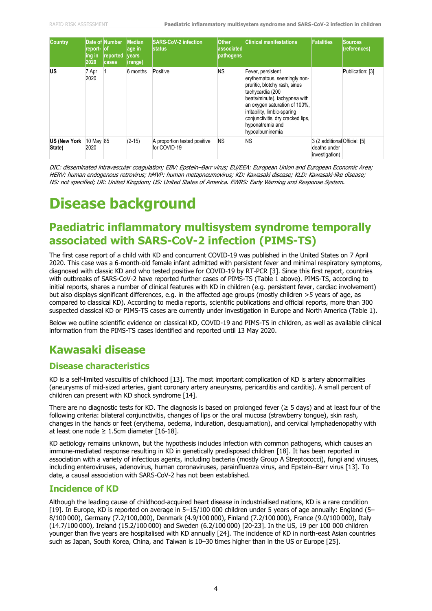| <b>Country</b>         | report- lof<br>ing in<br>2020 | Date of Number<br>reported<br><b>cases</b> | <b>Median</b><br>age in<br><b>Ivears</b><br>(range) | <b>SARS-CoV-2 infection</b><br>Istatus       | <b>Other</b><br>associated<br>pathogens | <b>Clinical manifestations</b>                                                                                                                                                                                                                                                       | <b>Fatalities</b>                                               | <b>Sources</b><br>(references) |
|------------------------|-------------------------------|--------------------------------------------|-----------------------------------------------------|----------------------------------------------|-----------------------------------------|--------------------------------------------------------------------------------------------------------------------------------------------------------------------------------------------------------------------------------------------------------------------------------------|-----------------------------------------------------------------|--------------------------------|
| US                     | 7 Apr<br>2020                 |                                            | 6 months                                            | Positive                                     | <b>NS</b>                               | Fever, persistent<br>erythematous, seemingly non-<br>pruritic, blotchy rash, sinus<br>tachycardia (200<br>beats/minute), tachypnea with<br>an oxygen saturation of 100%.<br>irritability, limbic-sparing<br>conjunctivitis, dry cracked lips,<br>hyponatremia and<br>hypoalbuminemia |                                                                 | Publication: [3]               |
| US (New York<br>State) | 10 May 85<br>2020             |                                            | $(2-15)$                                            | A proportion tested positive<br>for COVID-19 | <b>NS</b>                               | <b>NS</b>                                                                                                                                                                                                                                                                            | 3 (2 additional Official: [5]<br>deaths under<br>investigation) |                                |

DIC: disseminated intravascular coagulation; EBV: Epstein–Barr virus; EU/EEA: European Union and European Economic Area; HERV: human endogenous retrovirus; hMVP: human metapneumovirus; KD: Kawasaki disease; KLD: Kawasaki-like disease; NS: not specified; UK: United Kingdom; US: United States of America. EWRS: Early Warning and Response System.

## **Disease background**

## **Paediatric inflammatory multisystem syndrome temporally associated with SARS-CoV-2 infection (PIMS-TS)**

The first case report of a child with KD and concurrent COVID-19 was published in the United States on 7 April 2020. This case was a 6-month-old female infant admitted with persistent fever and minimal respiratory symptoms, diagnosed with classic KD and who tested positive for COVID-19 by RT-PCR [3]. Since this first report, countries with outbreaks of SARS-CoV-2 have reported further cases of PIMS-TS (Table 1 above). PIMS-TS, according to initial reports, shares a number of clinical features with KD in children (e.g. persistent fever, cardiac involvement) but also displays significant differences, e.g. in the affected age groups (mostly children >5 years of age, as compared to classical KD). According to media reports, scientific publications and official reports, more than 300 suspected classical KD or PIMS-TS cases are currently under investigation in Europe and North America (Table 1).

Below we outline scientific evidence on classical KD, COVID-19 and PIMS-TS in children, as well as available clinical information from the PIMS-TS cases identified and reported until 13 May 2020.

## **Kawasaki disease**

### **Disease characteristics**

KD is a self-limited vasculitis of childhood [13]. The most important complication of KD is artery abnormalities (aneurysms of mid-sized arteries, giant coronary artery aneurysms, pericarditis and carditis). A small percent of children can present with KD shock syndrome [14].

There are no diagnostic tests for KD. The diagnosis is based on prolonged fever ( $\geq$  5 days) and at least four of the following criteria: bilateral conjunctivitis, changes of lips or the oral mucosa (strawberry tongue), skin rash, changes in the hands or feet (erythema, oedema, induration, desquamation), and cervical lymphadenopathy with at least one node  $\geq 1.5$ cm diameter [16-18].

KD aetiology remains unknown, but the hypothesis includes infection with common pathogens, which causes an immune-mediated response resulting in KD in genetically predisposed children [18]. It has been reported in association with a variety of infectious agents, including bacteria (mostly Group A Streptococci), fungi and viruses, including enteroviruses, adenovirus, human coronaviruses, parainfluenza virus, and Epstein–Barr virus [13]. To date, a causal association with SARS-CoV-2 has not been established.

### **Incidence of KD**

Although the leading cause of childhood-acquired heart disease in industrialised nations, KD is a rare condition [19]. In Europe, KD is reported on average in 5–15/100 000 children under 5 years of age annually: England (5– 8/100 000), Germany (7.2/100,000), Denmark (4.9/100 000), Finland (7.2/100 000), France (9.0/100 000), Italy (14.7/100 000), Ireland (15.2/100 000) and Sweden (6.2/100 000) [20-23]. In the US, 19 per 100 000 children younger than five years are hospitalised with KD annually [24]. The incidence of KD in north-east Asian countries such as Japan, South Korea, China, and Taiwan is 10–30 times higher than in the US or Europe [25].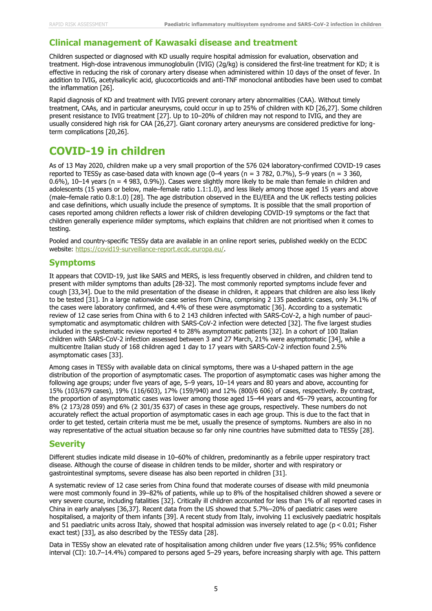#### **Clinical management of Kawasaki disease and treatment**

Children suspected or diagnosed with KD usually require hospital admission for evaluation, observation and treatment. High-dose intravenous immunoglobulin (IVIG) (2g/kg) is considered the first-line treatment for KD; it is effective in reducing the risk of coronary artery disease when administered within 10 days of the onset of fever. In addition to IVIG, acetylsalicylic acid, glucocorticoids and anti-TNF monoclonal antibodies have been used to combat the inflammation [26].

Rapid diagnosis of KD and treatment with IVIG prevent coronary artery abnormalities (CAA). Without timely treatment, CAAs, and in particular aneurysms, could occur in up to 25% of children with KD [26,27]. Some children present resistance to IVIG treatment [27]. Up to 10–20% of children may not respond to IVIG, and they are usually considered high risk for CAA [26,27]. Giant coronary artery aneurysms are considered predictive for longterm complications [20,26].

## **COVID-19 in children**

As of 13 May 2020, children make up a very small proportion of the 576 024 laboratory-confirmed COVID-19 cases reported to TESSy as case-based data with known age (0-4 years (n = 3 782, 0.7%), 5-9 years (n = 3 360, 0.6%), 10–14 years (n = 4 983, 0.9%)). Cases were slightly more likely to be male than female in children and adolescents (15 years or below, male–female ratio 1.1:1.0), and less likely among those aged 15 years and above (male–female ratio 0.8:1.0) [28]. The age distribution observed in the EU/EEA and the UK reflects testing policies and case definitions, which usually include the presence of symptoms. It is possible that the small proportion of cases reported among children reflects a lower risk of children developing COVID-19 symptoms or the fact that children generally experience milder symptoms, which explains that children are not prioritised when it comes to testing.

Pooled and country-specific TESSy data are available in an online report series, published weekly on the ECDC website: [https://covid19-surveillance-report.ecdc.europa.eu/.](https://covid19-surveillance-report.ecdc.europa.eu/#5_risk_groups_most_affected)

#### **Symptoms**

It appears that COVID-19, just like SARS and MERS, is less frequently observed in children, and children tend to present with milder symptoms than adults [28-32]. The most commonly reported symptoms include fever and cough [33,34]. Due to the mild presentation of the disease in children, it appears that children are also less likely to be tested [31]. In a large nationwide case series from China, comprising 2 135 paediatric cases, only 34.1% of the cases were laboratory confirmed, and 4.4% of these were asymptomatic [36]. According to a systematic review of 12 case series from China with 6 to 2 143 children infected with SARS-CoV-2, a high number of paucisymptomatic and asymptomatic children with SARS-CoV-2 infection were detected [32]. The five largest studies included in the systematic review reported 4 to 28% asymptomatic patients [32]. In a cohort of 100 Italian children with SARS-CoV-2 infection assessed between 3 and 27 March, 21% were asymptomatic [34], while a multicentre Italian study of 168 children aged 1 day to 17 years with SARS-CoV-2 infection found 2.5% asymptomatic cases [33].

Among cases in TESSy with available data on clinical symptoms, there was a U-shaped pattern in the age distribution of the proportion of asymptomatic cases. The proportion of asymptomatic cases was higher among the following age groups; under five years of age, 5–9 years, 10–14 years and 80 years and above, accounting for 15% (103/679 cases), 19% (116/603), 17% (159/940) and 12% (800/6 606) of cases, respectively. By contrast, the proportion of asymptomatic cases was lower among those aged 15–44 years and 45–79 years, accounting for 8% (2 173/28 059) and 6% (2 301/35 637) of cases in these age groups, respectively. These numbers do not accurately reflect the actual proportion of asymptomatic cases in each age group. This is due to the fact that in order to get tested, certain criteria must me be met, usually the presence of symptoms. Numbers are also in no way representative of the actual situation because so far only nine countries have submitted data to TESSy [28].

#### **Severity**

Different studies indicate mild disease in 10–60% of children, predominantly as a febrile upper respiratory tract disease. Although the course of disease in children tends to be milder, shorter and with respiratory or gastrointestinal symptoms, severe disease has also been reported in children [31].

A systematic review of 12 case series from China found that moderate courses of disease with mild pneumonia were most commonly found in 39–82% of patients, while up to 8% of the hospitalised children showed a severe or very severe course, including fatalities [32]. Critically ill children accounted for less than 1% of all reported cases in China in early analyses [36,37]. Recent data from the US showed that 5.7%–20% of paediatric cases were hospitalised, a majority of them infants [39]. A recent study from Italy, involving 11 exclusively paediatric hospitals and 51 paediatric units across Italy, showed that hospital admission was inversely related to age ( $p < 0.01$ ; Fisher exact test) [33], as also described by the TESSy data [28].

Data in TESSy show an elevated rate of hospitalisation among children under five years (12.5%; 95% confidence interval (CI): 10.7–14.4%) compared to persons aged 5–29 years, before increasing sharply with age. This pattern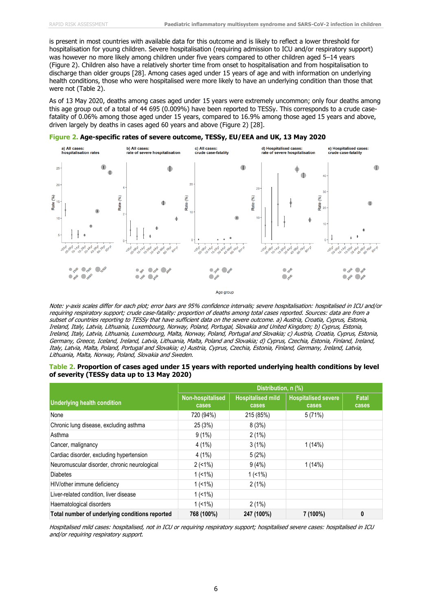is present in most countries with available data for this outcome and is likely to reflect a lower threshold for hospitalisation for young children. Severe hospitalisation (requiring admission to ICU and/or respiratory support) was however no more likely among children under five years compared to other children aged 5–14 years (Figure 2). Children also have a relatively shorter time from onset to hospitalisation and from hospitalisation to discharge than older groups [28]. Among cases aged under 15 years of age and with information on underlying health conditions, those who were hospitalised were more likely to have an underlying condition than those that were not (Table 2).

As of 13 May 2020, deaths among cases aged under 15 years were extremely uncommon; only four deaths among this age group out of a total of 44 695 (0.009%) have been reported to TESSy. This corresponds to a crude casefatality of 0.06% among those aged under 15 years, compared to 16.9% among those aged 15 years and above, driven largely by deaths in cases aged 60 years and above (Figure 2) [28].



#### **Figure 2. Age-specific rates of severe outcome, TESSy, EU/EEA and UK, 13 May 2020**

Note: y-axis scales differ for each plot; error bars are 95% confidence intervals; severe hospitalisation: hospitalised in ICU and/or requiring respiratory support; crude case-fatality: proportion of deaths among total cases reported. Sources: data are from a subset of countries reporting to TESSy that have sufficient data on the severe outcome. a) Austria, Croatia, Cyprus, Estonia, Ireland, Italy, Latvia, Lithuania, Luxembourg, Norway, Poland, Portugal, Slovakia and United Kingdom; b) Cyprus, Estonia, Ireland, Italy, Latvia, Lithuania, Luxembourg, Malta, Norway, Poland, Portugal and Slovakia; c) Austria, Croatia, Cyprus, Estonia, Germany, Greece, Iceland, Ireland, Latvia, Lithuania, Malta, Poland and Slovakia; d) Cyprus, Czechia, Estonia, Finland, Ireland, Italy, Latvia, Malta, Poland, Portugal and Slovakia; e) Austria, Cyprus, Czechia, Estonia, Finland, Germany, Ireland, Latvia, Lithuania, Malta, Norway, Poland, Slovakia and Sweden.

| Table 2. Proportion of cases aged under 15 years with reported underlying health conditions by level |  |  |
|------------------------------------------------------------------------------------------------------|--|--|
| of severity (TESSy data up to 13 May 2020)                                                           |  |  |

|                                                |                           | Distribution, n (%)               |                                     |                |  |  |  |
|------------------------------------------------|---------------------------|-----------------------------------|-------------------------------------|----------------|--|--|--|
| <b>Underlying health condition</b>             | Non-hospitalised<br>cases | <b>Hospitalised mild</b><br>cases | <b>Hospitalised severe</b><br>cases | Fatal<br>cases |  |  |  |
| None                                           | 720 (94%)                 | 215 (85%)                         | 5(71%)                              |                |  |  |  |
| Chronic lung disease, excluding asthma         | 25 (3%)                   | 8(3%)                             |                                     |                |  |  |  |
| Asthma                                         | 9(1%)                     | 2(1%)                             |                                     |                |  |  |  |
| Cancer, malignancy                             | 4(1%)                     | 3(1%)                             | 1(14%)                              |                |  |  |  |
| Cardiac disorder, excluding hypertension       | $4(1\%)$                  | 5(2%)                             |                                     |                |  |  |  |
| Neuromuscular disorder, chronic neurological   | 2(1%)                     | 9(4%)                             | 1(14%)                              |                |  |  |  |
| <b>Diabetes</b>                                | $1(1\%)$                  | $1(1\%)$                          |                                     |                |  |  |  |
| HIV/other immune deficiency                    | $1( < 1\%)$               | 2(1%)                             |                                     |                |  |  |  |
| Liver-related condition, liver disease         | $1(1\%)$                  |                                   |                                     |                |  |  |  |
| Haematological disorders                       | $1(1\%)$                  | 2(1%)                             |                                     |                |  |  |  |
| Total number of underlying conditions reported | 768 (100%)                | 247 (100%)                        | 7 (100%)                            | 0              |  |  |  |

Hospitalised mild cases: hospitalised, not in ICU or requiring respiratory support; hospitalised severe cases: hospitalised in ICU and/or requiring respiratory support.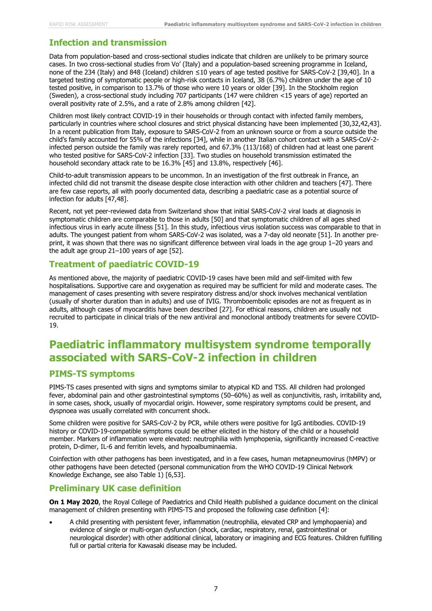## **Infection and transmission**

Data from population-based and cross-sectional studies indicate that children are unlikely to be primary source cases. In two cross-sectional studies from Vo' (Italy) and a population-based screening programme in Iceland, none of the 234 (Italy) and 848 (Iceland) children ≤10 years of age tested positive for SARS-CoV-2 [39,40]. In a targeted testing of symptomatic people or high-risk contacts in Iceland, 38 (6.7%) children under the age of 10 tested positive, in comparison to 13.7% of those who were 10 years or older [39]. In the Stockholm region (Sweden), a cross-sectional study including 707 participants (147 were children <15 years of age) reported an overall positivity rate of 2.5%, and a rate of 2.8% among children [42].

Children most likely contract COVID-19 in their households or through contact with infected family members, particularly in countries where school closures and strict physical distancing have been implemented [30,32,42,43]. In a recent publication from Italy, exposure to SARS-CoV-2 from an unknown source or from a source outside the child's family accounted for 55% of the infections [34], while in another Italian cohort contact with a SARS-CoV-2 infected person outside the family was rarely reported, and 67.3% (113/168) of children had at least one parent who tested positive for SARS-CoV-2 infection [33]. Two studies on household transmission estimated the household secondary attack rate to be 16.3% [45] and 13.8%, respectively [46].

Child-to-adult transmission appears to be uncommon. In an investigation of the first outbreak in France, an infected child did not transmit the disease despite close interaction with other children and teachers [47]. There are few case reports, all with poorly documented data, describing a paediatric case as a potential source of infection for adults [47,48].

Recent, not yet peer-reviewed data from Switzerland show that initial SARS-CoV-2 viral loads at diagnosis in symptomatic children are comparable to those in adults [50] and that symptomatic children of all ages shed infectious virus in early acute illness [51]. In this study, infectious virus isolation success was comparable to that in adults. The youngest patient from whom SARS-CoV-2 was isolated, was a 7-day old neonate [51]. In another preprint, it was shown that there was no significant difference between viral loads in the age group 1–20 years and the adult age group 21–100 years of age [52].

### **Treatment of paediatric COVID-19**

As mentioned above, the majority of paediatric COVID-19 cases have been mild and self-limited with few hospitalisations. Supportive care and oxygenation as required may be sufficient for mild and moderate cases. The management of cases presenting with severe respiratory distress and/or shock involves mechanical ventilation (usually of shorter duration than in adults) and use of IVIG. Thromboembolic episodes are not as frequent as in adults, although cases of myocarditis have been described [27]. For ethical reasons, children are usually not recruited to participate in clinical trials of the new antiviral and monoclonal antibody treatments for severe COVID-19.

## **Paediatric inflammatory multisystem syndrome temporally associated with SARS-CoV-2 infection in children**

### **PIMS-TS symptoms**

PIMS-TS cases presented with signs and symptoms similar to atypical KD and TSS. All children had prolonged fever, abdominal pain and other gastrointestinal symptoms (50–60%) as well as conjunctivitis, rash, irritability and, in some cases, shock, usually of myocardial origin. However, some respiratory symptoms could be present, and dyspnoea was usually correlated with concurrent shock.

Some children were positive for SARS-CoV-2 by PCR, while others were positive for IgG antibodies. COVID-19 history or COVID-19-compatible symptoms could be either elicited in the history of the child or a household member. Markers of inflammation were elevated: neutrophilia with lymphopenia, significantly increased C-reactive protein, D-dimer, IL-6 and ferritin levels, and hypoalbuminaemia.

Coinfection with other pathogens has been investigated, and in a few cases, human metapneumovirus (hMPV) or other pathogens have been detected (personal communication from the WHO COVID-19 Clinical Network Knowledge Exchange, see also Table 1) [6,53].

### **Preliminary UK case definition**

**On 1 May 2020**, the Royal College of Paediatrics and Child Health published a guidance document on the clinical management of children presenting with PIMS-TS and proposed the following case definition [4]:

 A child presenting with persistent fever, inflammation (neutrophilia, elevated CRP and lymphopaenia) and evidence of single or multi-organ dysfunction (shock, cardiac, respiratory, renal, gastrointestinal or neurological disorder) with other additional clinical, laboratory or imagining and ECG features. Children fulfilling full or partial criteria for Kawasaki disease may be included.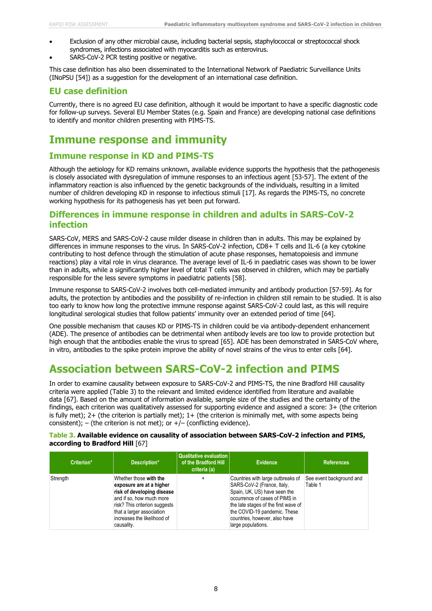- Exclusion of any other microbial cause, including bacterial sepsis, staphylococcal or streptococcal shock syndromes, infections associated with myocarditis such as enterovirus.
- SARS-CoV-2 PCR testing positive or negative.

This case definition has also been disseminated to the International Network of Paediatric Surveillance Units (INoPSU [54]) as a suggestion for the development of an international case definition.

## **EU case definition**

Currently, there is no agreed EU case definition, although it would be important to have a specific diagnostic code for follow-up surveys. Several EU Member States (e.g. Spain and France) are developing national case definitions to identify and monitor children presenting with PIMS-TS.

## **Immune response and immunity**

## **Immune response in KD and PIMS-TS**

Although the aetiology for KD remains unknown, available evidence supports the hypothesis that the pathogenesis is closely associated with dysregulation of immune responses to an infectious agent [53-57]. The extent of the inflammatory reaction is also influenced by the genetic backgrounds of the individuals, resulting in a limited number of children developing KD in response to infectious stimuli [17]. As regards the PIMS-TS, no concrete working hypothesis for its pathogenesis has yet been put forward.

### **Differences in immune response in children and adults in SARS-CoV-2 infection**

SARS-CoV, MERS and SARS-CoV-2 cause milder disease in children than in adults. This may be explained by differences in immune responses to the virus. In SARS-CoV-2 infection, CD8+ T cells and IL-6 (a key cytokine contributing to host defence through the stimulation of acute phase responses, hematopoiesis and immune reactions) play a vital role in virus clearance. The average level of IL-6 in paediatric cases was shown to be lower than in adults, while a significantly higher level of total T cells was observed in children, which may be partially responsible for the less severe symptoms in paediatric patients [58].

Immune response to SARS-CoV-2 involves both cell-mediated immunity and antibody production [57-59]. As for adults, the protection by antibodies and the possibility of re-infection in children still remain to be studied. It is also too early to know how long the protective immune response against SARS-CoV-2 could last, as this will require longitudinal serological studies that follow patients' immunity over an extended period of time [64].

One possible mechanism that causes KD or PIMS-TS in children could be via antibody-dependent enhancement (ADE). The presence of antibodies can be detrimental when antibody levels are too low to provide protection but high enough that the antibodies enable the virus to spread [65]. ADE has been demonstrated in SARS-CoV where, in vitro, antibodies to the spike protein improve the ability of novel strains of the virus to enter cells [64].

## **Association between SARS-CoV-2 infection and PIMS**

In order to examine causality between exposure to SARS-CoV-2 and PIMS-TS, the nine Bradford Hill causality criteria were applied (Table 3) to the relevant and limited evidence identified from literature and available data [67]. Based on the amount of information available, sample size of the studies and the certainty of the findings, each criterion was qualitatively assessed for supporting evidence and assigned a score: 3+ (the criterion is fully met); 2+ (the criterion is partially met); 1+ (the criterion is minimally met, with some aspects being consistent); – (the criterion is not met); or  $+/-$  (conflicting evidence).

#### **Table 3. Available evidence on causality of association between SARS-CoV-2 infection and PIMS, according to Bradford Hill** [67]

| Criterion* | Description*                                                                                                                                                                                                            | Qualitative evaluation  <br>of the Bradford Hill<br>criteria (a) | <b>Evidence</b>                                                                                                                                                                                                                                                  | <b>References</b>                   |
|------------|-------------------------------------------------------------------------------------------------------------------------------------------------------------------------------------------------------------------------|------------------------------------------------------------------|------------------------------------------------------------------------------------------------------------------------------------------------------------------------------------------------------------------------------------------------------------------|-------------------------------------|
| Strength   | Whether those with the<br>exposure are at a higher<br>risk of developing disease<br>and if so, how much more<br>risk? This criterion suggests<br>that a larger association<br>increases the likelihood of<br>causality. | ÷                                                                | Countries with large outbreaks of<br>SARS-CoV-2 (France, Italy,<br>Spain, UK, US) have seen the<br>occurrence of cases of PIMS in<br>the late stages of the first wave of<br>the COVID-19 pandemic. These<br>countries, however, also have<br>large populations. | See event background and<br>Table 1 |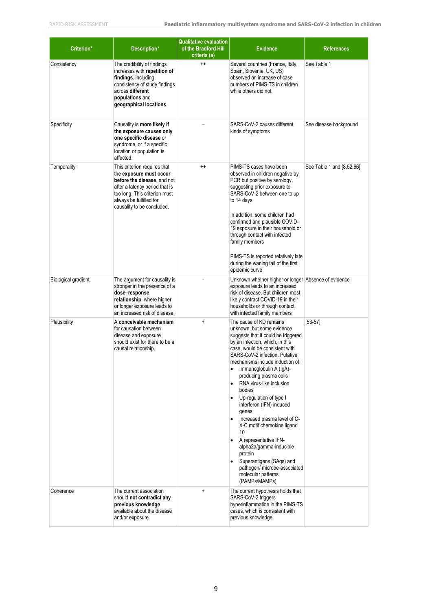| Criterion*          | Description*                                                                                                                                                                                                       | <b>Qualitative evaluation</b><br>of the Bradford Hill<br>criteria (a) | <b>Evidence</b>                                                                                                                                                                                                                                                                                                                                                                                                                                                                                                                                                                                                                                                                 | <b>References</b>         |
|---------------------|--------------------------------------------------------------------------------------------------------------------------------------------------------------------------------------------------------------------|-----------------------------------------------------------------------|---------------------------------------------------------------------------------------------------------------------------------------------------------------------------------------------------------------------------------------------------------------------------------------------------------------------------------------------------------------------------------------------------------------------------------------------------------------------------------------------------------------------------------------------------------------------------------------------------------------------------------------------------------------------------------|---------------------------|
| Consistency         | The credibility of findings<br>increases with repetition of<br>findings, including<br>consistency of study findings<br>across different<br>populations and<br>geographical locations.                              | $^{++}$                                                               | Several countries (France, Italy,<br>Spain, Slovenia, UK, US)<br>observed an increase of case<br>numbers of PIMS-TS in children<br>while others did not                                                                                                                                                                                                                                                                                                                                                                                                                                                                                                                         | See Table 1               |
| Specificity         | Causality is more likely if<br>the exposure causes only<br>one specific disease or<br>syndrome, or if a specific<br>location or population is<br>affected.                                                         |                                                                       | SARS-CoV-2 causes different<br>kinds of symptoms                                                                                                                                                                                                                                                                                                                                                                                                                                                                                                                                                                                                                                | See disease background    |
| Temporality         | This criterion requires that<br>the exposure must occur<br>before the disease, and not<br>after a latency period that is<br>too long. This criterion must<br>always be fulfilled for<br>causality to be concluded. | $^{\mathrm{+}}$                                                       | PIMS-TS cases have been<br>observed in children negative by<br>PCR but positive by serology,<br>suggesting prior exposure to<br>SARS-CoV-2 between one to up<br>to 14 days.<br>In addition, some children had<br>confirmed and plausible COVID-<br>19 exposure in their household or<br>through contact with infected<br>family members<br>PIMS-TS is reported relatively late<br>during the waning tail of the first<br>epidemic curve                                                                                                                                                                                                                                         | See Table 1 and [8,52,66] |
| Biological gradient | The argument for causality is<br>stronger in the presence of a<br>dose-response<br>relationship, where higher<br>or longer exposure leads to<br>an increased risk of disease.                                      |                                                                       | Unknown whether higher or longer Absence of evidence<br>exposure leads to an increased<br>risk of disease. But children most<br>likely contract COVID-19 in their<br>households or through contact<br>with infected family members                                                                                                                                                                                                                                                                                                                                                                                                                                              |                           |
| Plausibility        | A conceivable mechanism<br>for causation between<br>disease and exposure<br>should exist for there to be a<br>causal relationship.                                                                                 | $\ddot{}$                                                             | The cause of KD remains<br>unknown, but some evidence<br>suggests that it could be triggered<br>by an infection, which, in this<br>case, would be consistent with<br>SARS-CoV-2 infection. Putative<br>mechanisms include induction of:<br>Immunoglobulin A (IgA)-<br>$\bullet$<br>producing plasma cells<br>RNA virus-like inclusion<br>$\bullet$<br>bodies<br>Up-regulation of type I<br>interferon (IFN)-induced<br>genes<br>Increased plasma level of C-<br>$\bullet$<br>X-C motif chemokine ligand<br>10<br>A representative IFN-<br>alpha2a/gamma-inducible<br>protein<br>Superantigens (SAgs) and<br>pathogen/ microbe-associated<br>molecular patterns<br>(PAMPs/MAMPs) | $[53-57]$                 |
| Coherence           | The current association<br>should not contradict any<br>previous knowledge<br>available about the disease<br>and/or exposure.                                                                                      | $\ddot{}$                                                             | The current hypothesis holds that<br>SARS-CoV-2 triggers<br>hyperinflammation in the PIMS-TS<br>cases, which is consistent with<br>previous knowledge                                                                                                                                                                                                                                                                                                                                                                                                                                                                                                                           |                           |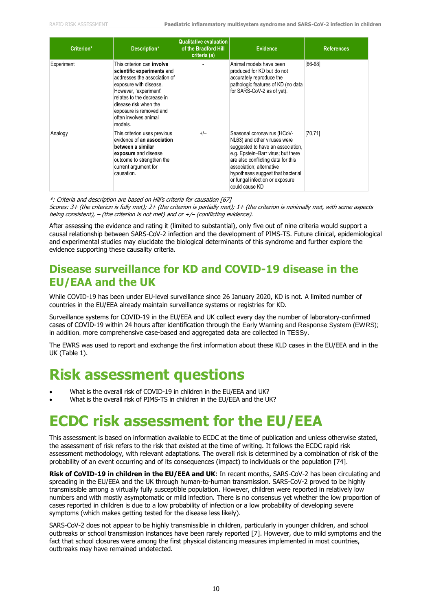| Criterion* | Description*                                                                                                                                                                                                                                                             | <b>Qualitative evaluation</b><br>of the Bradford Hill<br>criteria (a) | <b>Evidence</b>                                                                                                                                                                                                                                                                                    | <b>References</b> |
|------------|--------------------------------------------------------------------------------------------------------------------------------------------------------------------------------------------------------------------------------------------------------------------------|-----------------------------------------------------------------------|----------------------------------------------------------------------------------------------------------------------------------------------------------------------------------------------------------------------------------------------------------------------------------------------------|-------------------|
| Experiment | This criterion can <b>involve</b><br>scientific experiments and<br>addresses the association of<br>exposure with disease.<br>However, 'experiment'<br>relates to the decrease in<br>disease risk when the<br>exposure is removed and<br>often involves animal<br>models. |                                                                       | Animal models have been<br>produced for KD but do not<br>accurately reproduce the<br>pathologic features of KD (no data<br>for SARS-CoV-2 as of yet).                                                                                                                                              | $[66-68]$         |
| Analogy    | This criterion uses previous<br>evidence of an association<br>between a similar<br>exposure and disease<br>outcome to strengthen the<br>current argument for<br>causation.                                                                                               | $+/-$                                                                 | Seasonal coronavirus (HCoV-<br>NL63) and other viruses were<br>suggested to have an association,<br>e.g. Epstein-Barr virus; but there<br>are also conflicting data for this<br>association; alternative<br>hypotheses suggest that bacterial<br>or fungal infection or exposure<br>could cause KD | [70, 71]          |

\*: Criteria and description are based on Hill's criteria for causation [67]

Scores: 3+ (the criterion is fully met); 2+ (the criterion is partially met); 1+ (the criterion is minimally met, with some aspects being consistent),  $-$  (the criterion is not met) and or  $+$ / $-$  (conflicting evidence).

After assessing the evidence and rating it (limited to substantial), only five out of nine criteria would support a causal relationship between SARS-CoV-2 infection and the development of PIMS-TS. Future clinical, epidemiological and experimental studies may elucidate the biological determinants of this syndrome and further explore the evidence supporting these causality criteria.

## **Disease surveillance for KD and COVID-19 disease in the EU/EAA and the UK**

While COVID-19 has been under EU-level surveillance since 26 January 2020, KD is not. A limited number of countries in the EU/EEA already maintain surveillance systems or registries for KD.

Surveillance systems for COVID-19 in the EU/EEA and UK collect every day the number of laboratory-confirmed cases of COVID-19 within 24 hours after identification through the Early Warning and Response System (EWRS); in addition, more comprehensive case-based and aggregated data are collected in TESSy.

The EWRS was used to report and exchange the first information about these KLD cases in the EU/EEA and in the UK (Table 1).

## **Risk assessment questions**

- What is the overall risk of COVID-19 in children in the EU/EEA and UK?
- What is the overall risk of PIMS-TS in children in the EU/EEA and the UK?

## **ECDC risk assessment for the EU/EEA**

This assessment is based on information available to ECDC at the time of publication and unless otherwise stated, the assessment of risk refers to the risk that existed at the time of writing. It follows the ECDC rapid risk assessment methodology, with relevant adaptations. The overall risk is determined by a combination of risk of the probability of an event occurring and of its consequences (impact) to individuals or the population [74].

**Risk of CoVID-19 in children in the EU/EEA and UK**: In recent months, SARS-CoV-2 has been circulating and spreading in the EU/EEA and the UK through human-to-human transmission. SARS-CoV-2 proved to be highly transmissible among a virtually fully susceptible population. However, children were reported in relatively low numbers and with mostly asymptomatic or mild infection. There is no consensus yet whether the low proportion of cases reported in children is due to a low probability of infection or a low probability of developing severe symptoms (which makes getting tested for the disease less likely).

SARS-CoV-2 does not appear to be highly transmissible in children, particularly in younger children, and school outbreaks or school transmission instances have been rarely reported [7]. However, due to mild symptoms and the fact that school closures were among the first physical distancing measures implemented in most countries, outbreaks may have remained undetected.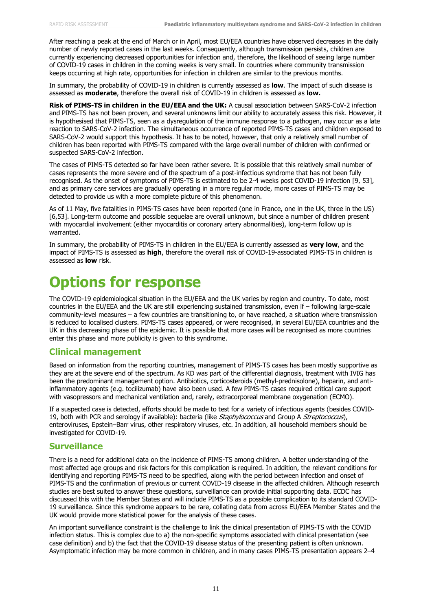After reaching a peak at the end of March or in April, most EU/EEA countries have observed decreases in the daily number of newly reported cases in the last weeks. Consequently, although transmission persists, children are currently experiencing decreased opportunities for infection and, therefore, the likelihood of seeing large number of COVID-19 cases in children in the coming weeks is very small. In countries where community transmission keeps occurring at high rate, opportunities for infection in children are similar to the previous months.

In summary, the probability of COVID-19 in children is currently assessed as **low**. The impact of such disease is assessed as **moderate**, therefore the overall risk of COVID-19 in children is assessed as **low.**

**Risk of PIMS-TS in children in the EU/EEA and the UK:** A causal association between SARS-CoV-2 infection and PIMS-TS has not been proven, and several unknowns limit our ability to accurately assess this risk. However, it is hypothesised that PIMS-TS, seen as a dysregulation of the immune response to a pathogen, may occur as a late reaction to SARS-CoV-2 infection. The simultaneous occurrence of reported PIMS-TS cases and children exposed to SARS-CoV-2 would support this hypothesis. It has to be noted, however, that only a relatively small number of children has been reported with PIMS-TS compared with the large overall number of children with confirmed or suspected SARS-CoV-2 infection.

The cases of PIMS-TS detected so far have been rather severe. It is possible that this relatively small number of cases represents the more severe end of the spectrum of a post-infectious syndrome that has not been fully recognised. As the onset of symptoms of PIMS-TS is estimated to be 2-4 weeks post COVID-19 infection [9, 53], and as primary care services are gradually operating in a more regular mode, more cases of PIMS-TS may be detected to provide us with a more complete picture of this phenomenon.

As of 11 May, five fatalities in PIMS-TS cases have been reported (one in France, one in the UK, three in the US) [6,53]. Long-term outcome and possible sequelae are overall unknown, but since a number of children present with myocardial involvement (either myocarditis or coronary artery abnormalities), long-term follow up is warranted.

In summary, the probability of PIMS-TS in children in the EU/EEA is currently assessed as **very low**, and the impact of PIMS-TS is assessed as **high**, therefore the overall risk of COVID-19-associated PIMS-TS in children is assessed as **low** risk.

## **Options for response**

The COVID-19 epidemiological situation in the EU/EEA and the UK varies by region and country. To date, most countries in the EU/EEA and the UK are still experiencing sustained transmission, even if – following large-scale community-level measures – a few countries are transitioning to, or have reached, a situation where transmission is reduced to localised clusters. PIMS-TS cases appeared, or were recognised, in several EU/EEA countries and the UK in this decreasing phase of the epidemic. It is possible that more cases will be recognised as more countries enter this phase and more publicity is given to this syndrome.

#### **Clinical management**

Based on information from the reporting countries, management of PIMS-TS cases has been mostly supportive as they are at the severe end of the spectrum. As KD was part of the differential diagnosis, treatment with IVIG has been the predominant management option. Antibiotics, corticosteroids (methyl-prednisolone), heparin, and antiinflammatory agents (e.g. tocilizumab) have also been used. A few PIMS-TS cases required critical care support with vasopressors and mechanical ventilation and, rarely, extracorporeal membrane oxygenation (ECMO).

If a suspected case is detected, efforts should be made to test for a variety of infectious agents (besides COVID-19, both with PCR and serology if available): bacteria (like Staphylococcus and Group A Streptococcus), enteroviruses, Epstein–Barr virus, other respiratory viruses, etc. In addition, all household members should be investigated for COVID-19.

#### **Surveillance**

There is a need for additional data on the incidence of PIMS-TS among children. A better understanding of the most affected age groups and risk factors for this complication is required. In addition, the relevant conditions for identifying and reporting PIMS-TS need to be specified, along with the period between infection and onset of PIMS-TS and the confirmation of previous or current COVID-19 disease in the affected children. Although research studies are best suited to answer these questions, surveillance can provide initial supporting data. ECDC has discussed this with the Member States and will include PIMS-TS as a possible complication to its standard COVID-19 surveillance. Since this syndrome appears to be rare, collating data from across EU/EEA Member States and the UK would provide more statistical power for the analysis of these cases.

An important surveillance constraint is the challenge to link the clinical presentation of PIMS-TS with the COVID infection status. This is complex due to a) the non-specific symptoms associated with clinical presentation (see case definition) and b) the fact that the COVID-19 disease status of the presenting patient is often unknown. Asymptomatic infection may be more common in children, and in many cases PIMS-TS presentation appears 2–4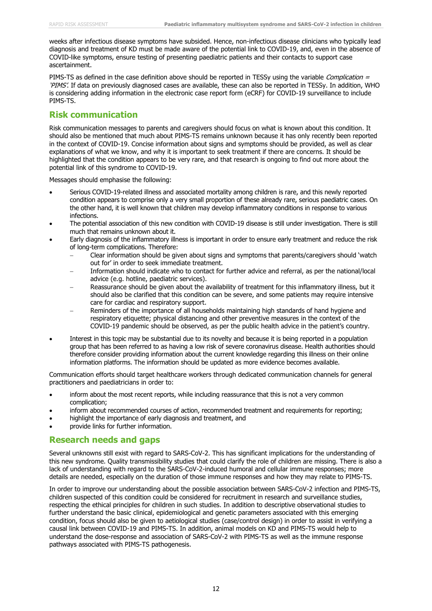weeks after infectious disease symptoms have subsided. Hence, non-infectious disease clinicians who typically lead diagnosis and treatment of KD must be made aware of the potential link to COVID-19, and, even in the absence of COVID-like symptoms, ensure testing of presenting paediatric patients and their contacts to support case ascertainment.

PIMS-TS as defined in the case definition above should be reported in TESSy using the variable *Complication* = 'PIMS'. If data on previously diagnosed cases are available, these can also be reported in TESSy. In addition, WHO is considering adding information in the electronic case report form (eCRF) for COVID-19 surveillance to include PIMS-TS.

## **Risk communication**

Risk communication messages to parents and caregivers should focus on what is known about this condition. It should also be mentioned that much about PIMS-TS remains unknown because it has only recently been reported in the context of COVID-19. Concise information about signs and symptoms should be provided, as well as clear explanations of what we know, and why it is important to seek treatment if there are concerns. It should be highlighted that the condition appears to be very rare, and that research is ongoing to find out more about the potential link of this syndrome to COVID-19.

Messages should emphasise the following:

- Serious COVID-19-related illness and associated mortality among children is rare, and this newly reported condition appears to comprise only a very small proportion of these already rare, serious paediatric cases. On the other hand, it is well known that children may develop inflammatory conditions in response to various infections.
- The potential association of this new condition with COVID-19 disease is still under investigation. There is still much that remains unknown about it.
- Early diagnosis of the inflammatory illness is important in order to ensure early treatment and reduce the risk of long-term complications. Therefore:
	- Clear information should be given about signs and symptoms that parents/caregivers should 'watch out for' in order to seek immediate treatment.
	- Information should indicate who to contact for further advice and referral, as per the national/local advice (e.g. hotline, paediatric services).
	- Reassurance should be given about the availability of treatment for this inflammatory illness, but it should also be clarified that this condition can be severe, and some patients may require intensive care for cardiac and respiratory support.
	- Reminders of the importance of all households maintaining high standards of hand hygiene and respiratory etiquette; physical distancing and other preventive measures in the context of the COVID-19 pandemic should be observed, as per the public health advice in the patient's country.
- Interest in this topic may be substantial due to its novelty and because it is being reported in a population group that has been referred to as having a low risk of severe coronavirus disease. Health authorities should therefore consider providing information about the current knowledge regarding this illness on their online information platforms. The information should be updated as more evidence becomes available.

Communication efforts should target healthcare workers through dedicated communication channels for general practitioners and paediatricians in order to:

- inform about the most recent reports, while including reassurance that this is not a very common complication;
- inform about recommended courses of action, recommended treatment and requirements for reporting;
- highlight the importance of early diagnosis and treatment, and
- provide links for further information.

### **Research needs and gaps**

Several unknowns still exist with regard to SARS-CoV-2. This has significant implications for the understanding of this new syndrome. Quality transmissibility studies that could clarify the role of children are missing. There is also a lack of understanding with regard to the SARS-CoV-2-induced humoral and cellular immune responses; more details are needed, especially on the duration of those immune responses and how they may relate to PIMS-TS.

In order to improve our understanding about the possible association between SARS-CoV-2 infection and PIMS-TS, children suspected of this condition could be considered for recruitment in research and surveillance studies, respecting the ethical principles for children in such studies. In addition to descriptive observational studies to further understand the basic clinical, epidemiological and genetic parameters associated with this emerging condition, focus should also be given to aetiological studies (case/control design) in order to assist in verifying a causal link between COVID-19 and PIMS-TS. In addition, animal models on KD and PIMS-TS would help to understand the dose-response and association of SARS-CoV-2 with PIMS-TS as well as the immune response pathways associated with PIMS-TS pathogenesis.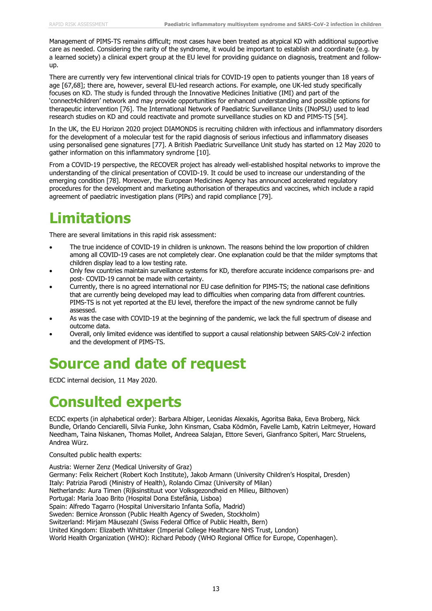Management of PIMS-TS remains difficult; most cases have been treated as atypical KD with additional supportive care as needed. Considering the rarity of the syndrome, it would be important to establish and coordinate (e.g. by a learned society) a clinical expert group at the EU level for providing guidance on diagnosis, treatment and followup.

There are currently very few interventional clinical trials for COVID-19 open to patients younger than 18 years of age [67,68]; there are, however, several EU-led research actions. For example, one UK-led study specifically focuses on KD. The study is funded through the Innovative Medicines Initiative (IMI) and part of the 'connect4children' network and may provide opportunities for enhanced understanding and possible options for therapeutic intervention [76]. The International Network of Paediatric Surveillance Units (INoPSU) used to lead research studies on KD and could reactivate and promote surveillance studies on KD and PIMS-TS [54].

In the UK, the EU Horizon 2020 project DIAMONDS is recruiting children with infectious and inflammatory disorders for the development of a molecular test for the rapid diagnosis of serious infectious and inflammatory diseases using personalised gene signatures [77]. A British Paediatric Surveillance Unit study has started on 12 May 2020 to gather information on this inflammatory syndrome [10].

From a COVID-19 perspective, the RECOVER project has already well-established hospital networks to improve the understanding of the clinical presentation of COVID-19. It could be used to increase our understanding of the emerging condition [78]. Moreover, the European Medicines Agency has announced accelerated regulatory procedures for the development and marketing authorisation of therapeutics and vaccines, which include a rapid agreement of paediatric investigation plans (PIPs) and rapid compliance [79].

# **Limitations**

There are several limitations in this rapid risk assessment:

- The true incidence of COVID-19 in children is unknown. The reasons behind the low proportion of children among all COVID-19 cases are not completely clear. One explanation could be that the milder symptoms that children display lead to a low testing rate.
- Only few countries maintain surveillance systems for KD, therefore accurate incidence comparisons pre- and post- COVID-19 cannot be made with certainty.
- Currently, there is no agreed international nor EU case definition for PIMS-TS; the national case definitions that are currently being developed may lead to difficulties when comparing data from different countries. PIMS-TS is not yet reported at the EU level, therefore the impact of the new syndrome cannot be fully assessed.
- As was the case with COVID-19 at the beginning of the pandemic, we lack the full spectrum of disease and outcome data.
- Overall, only limited evidence was identified to support a causal relationship between SARS-CoV-2 infection and the development of PIMS-TS.

## **Source and date of request**

ECDC internal decision, 11 May 2020.

## **Consulted experts**

ECDC experts (in alphabetical order): Barbara Albiger, Leonidas Alexakis, Agoritsa Baka, Eeva Broberg, Nick Bundle, Orlando Cenciarelli, Silvia Funke, John Kinsman, Csaba Ködmön, Favelle Lamb, Katrin Leitmeyer, Howard Needham, Taina Niskanen, Thomas Mollet, Andreea Salajan, Ettore Severi, Gianfranco Spiteri, Marc Struelens, Andrea Würz.

Consulted public health experts:

Austria: Werner Zenz (Medical University of Graz) Germany: Felix Reichert (Robert Koch Institute), Jakob Armann (University Children's Hospital, Dresden) Italy: Patrizia Parodi (Ministry of Health), Rolando Cimaz (University of Milan) Netherlands: Aura Timen (Rijksinstituut voor Volksgezondheid en Milieu, Bilthoven) Portugal: Maria Joao Brito (Hospital Dona Estefânia, Lisboa) Spain: Alfredo Tagarro (Hospital Universitario Infanta Sofía, Madrid) Sweden: Bernice Aronsson (Public Health Agency of Sweden, Stockholm) Switzerland: Mirjam Mäusezahl (Swiss Federal Office of Public Health, Bern) United Kingdom: Elizabeth Whittaker (Imperial College Healthcare NHS Trust, London) World Health Organization (WHO): Richard Pebody (WHO Regional Office for Europe, Copenhagen).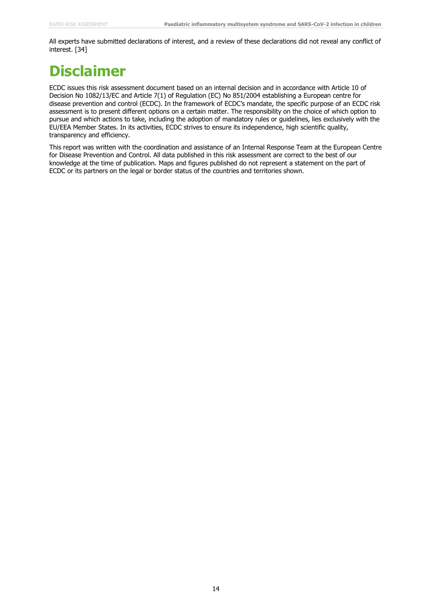All experts have submitted declarations of interest, and a review of these declarations did not reveal any conflict of interest. [34]

# **Disclaimer**

ECDC issues this risk assessment document based on an internal decision and in accordance with Article 10 of Decision No 1082/13/EC and Article 7(1) of Regulation (EC) No 851/2004 establishing a European centre for disease prevention and control (ECDC). In the framework of ECDC's mandate, the specific purpose of an ECDC risk assessment is to present different options on a certain matter. The responsibility on the choice of which option to pursue and which actions to take, including the adoption of mandatory rules or guidelines, lies exclusively with the EU/EEA Member States. In its activities, ECDC strives to ensure its independence, high scientific quality, transparency and efficiency.

This report was written with the coordination and assistance of an Internal Response Team at the European Centre for Disease Prevention and Control. All data published in this risk assessment are correct to the best of our knowledge at the time of publication. Maps and figures published do not represent a statement on the part of ECDC or its partners on the legal or border status of the countries and territories shown.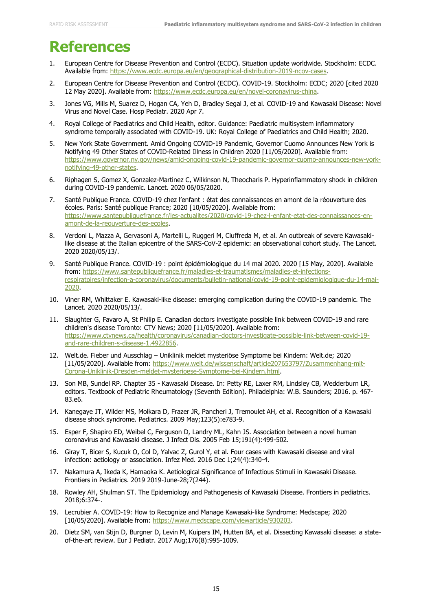## **References**

- 1. European Centre for Disease Prevention and Control (ECDC). Situation update worldwide. Stockholm: ECDC. Available from: [https://www.ecdc.europa.eu/en/geographical-distribution-2019-ncov-cases.](https://www.ecdc.europa.eu/en/geographical-distribution-2019-ncov-cases)
- 2. European Centre for Disease Prevention and Control (ECDC). COVID-19. Stockholm: ECDC; 2020 [cited 2020 12 May 2020]. Available from: [https://www.ecdc.europa.eu/en/novel-coronavirus-china.](https://www.ecdc.europa.eu/en/novel-coronavirus-china)
- 3. Jones VG, Mills M, Suarez D, Hogan CA, Yeh D, Bradley Segal J, et al. COVID-19 and Kawasaki Disease: Novel Virus and Novel Case. Hosp Pediatr. 2020 Apr 7.
- 4. Royal College of Paediatrics and Child Health, editor. Guidance: Paediatric multisystem inflammatory syndrome temporally associated with COVID-19. UK: Royal College of Paediatrics and Child Health; 2020.
- 5. New York State Government. Amid Ongoing COVID-19 Pandemic, Governor Cuomo Announces New York is Notifying 49 Other States of COVID-Related Illness in Children 2020 [11/05/2020]. Available from: [https://www.governor.ny.gov/news/amid-ongoing-covid-19-pandemic-governor-cuomo-announces-new-york](https://www.governor.ny.gov/news/amid-ongoing-covid-19-pandemic-governor-cuomo-announces-new-york-notifying-49-other-states)[notifying-49-other-states.](https://www.governor.ny.gov/news/amid-ongoing-covid-19-pandemic-governor-cuomo-announces-new-york-notifying-49-other-states)
- 6. Riphagen S, Gomez X, Gonzalez-Martinez C, Wilkinson N, Theocharis P. Hyperinflammatory shock in children during COVID-19 pandemic. Lancet. 2020 06/05/2020.
- 7. Santé Publique France. COVID-19 chez l'enfant : état des connaissances en amont de la réouverture des écoles. Paris: Santé publique France; 2020 [10/05/2020]. Available from: [https://www.santepubliquefrance.fr/les-actualites/2020/covid-19-chez-l-enfant-etat-des-connaissances-en](https://www.santepubliquefrance.fr/les-actualites/2020/covid-19-chez-l-enfant-etat-des-connaissances-en-amont-de-la-reouverture-des-ecoles)[amont-de-la-reouverture-des-ecoles.](https://www.santepubliquefrance.fr/les-actualites/2020/covid-19-chez-l-enfant-etat-des-connaissances-en-amont-de-la-reouverture-des-ecoles)
- 8. Verdoni L, Mazza A, Gervasoni A, Martelli L, Ruggeri M, Ciuffreda M, et al. An outbreak of severe Kawasakilike disease at the Italian epicentre of the SARS-CoV-2 epidemic: an observational cohort study. The Lancet. 2020 2020/05/13/.
- 9. Santé Publique France. COVID-19 : point épidémiologique du 14 mai 2020. 2020 [15 May, 2020]. Available from: [https://www.santepubliquefrance.fr/maladies-et-traumatismes/maladies-et-infections](https://www.santepubliquefrance.fr/maladies-et-traumatismes/maladies-et-infections-respiratoires/infection-a-coronavirus/documents/bulletin-national/covid-19-point-epidemiologique-du-14-mai-2020)[respiratoires/infection-a-coronavirus/documents/bulletin-national/covid-19-point-epidemiologique-du-14-mai-](https://www.santepubliquefrance.fr/maladies-et-traumatismes/maladies-et-infections-respiratoires/infection-a-coronavirus/documents/bulletin-national/covid-19-point-epidemiologique-du-14-mai-2020)[2020.](https://www.santepubliquefrance.fr/maladies-et-traumatismes/maladies-et-infections-respiratoires/infection-a-coronavirus/documents/bulletin-national/covid-19-point-epidemiologique-du-14-mai-2020)
- 10. Viner RM, Whittaker E. Kawasaki-like disease: emerging complication during the COVID-19 pandemic. The Lancet. 2020 2020/05/13/.
- 11. Slaughter G, Favaro A, St Philip E. Canadian doctors investigate possible link between COVID-19 and rare children's disease Toronto: CTV News; 2020 [11/05/2020]. Available from: [https://www.ctvnews.ca/health/coronavirus/canadian-doctors-investigate-possible-link-between-covid-19](https://www.ctvnews.ca/health/coronavirus/canadian-doctors-investigate-possible-link-between-covid-19-and-rare-children-s-disease-1.4922856) [and-rare-children-s-disease-1.4922856.](https://www.ctvnews.ca/health/coronavirus/canadian-doctors-investigate-possible-link-between-covid-19-and-rare-children-s-disease-1.4922856)
- 12. Welt.de. Fieber und Ausschlag Uniklinik meldet mysteriöse Symptome bei Kindern: Welt.de; 2020 [11/05/2020]. Available from: [https://www.welt.de/wissenschaft/article207653797/Zusammenhang-mit-](https://www.welt.de/wissenschaft/article207653797/Zusammenhang-mit-Corona-Uniklinik-Dresden-meldet-mysterioese-Symptome-bei-Kindern.html)[Corona-Uniklinik-Dresden-meldet-mysterioese-Symptome-bei-Kindern.html.](https://www.welt.de/wissenschaft/article207653797/Zusammenhang-mit-Corona-Uniklinik-Dresden-meldet-mysterioese-Symptome-bei-Kindern.html)
- 13. Son MB, Sundel RP. Chapter 35 Kawasaki Disease. In: Petty RE, Laxer RM, Lindsley CB, Wedderburn LR, editors. Textbook of Pediatric Rheumatology (Seventh Edition). Philadelphia: W.B. Saunders; 2016. p. 467- 83.e6.
- 14. Kanegaye JT, Wilder MS, Molkara D, Frazer JR, Pancheri J, Tremoulet AH, et al. Recognition of a Kawasaki disease shock syndrome. Pediatrics. 2009 May;123(5):e783-9.
- 15. Esper F, Shapiro ED, Weibel C, Ferguson D, Landry ML, Kahn JS. Association between a novel human coronavirus and Kawasaki disease. J Infect Dis. 2005 Feb 15;191(4):499-502.
- 16. Giray T, Bicer S, Kucuk O, Col D, Yalvac Z, Gurol Y, et al. Four cases with Kawasaki disease and viral infection: aetiology or association. Infez Med. 2016 Dec 1;24(4):340-4.
- 17. Nakamura A, Ikeda K, Hamaoka K. Aetiological Significance of Infectious Stimuli in Kawasaki Disease. Frontiers in Pediatrics. 2019 2019-June-28;7(244).
- 18. Rowley AH, Shulman ST. The Epidemiology and Pathogenesis of Kawasaki Disease. Frontiers in pediatrics. 2018;6:374-.
- 19. Lecrubier A. COVID-19: How to Recognize and Manage Kawasaki-like Syndrome: Medscape; 2020 [10/05/2020]. Available from: [https://www.medscape.com/viewarticle/930203.](https://www.medscape.com/viewarticle/930203)
- 20. Dietz SM, van Stijn D, Burgner D, Levin M, Kuipers IM, Hutten BA, et al. Dissecting Kawasaki disease: a stateof-the-art review. Eur J Pediatr. 2017 Aug;176(8):995-1009.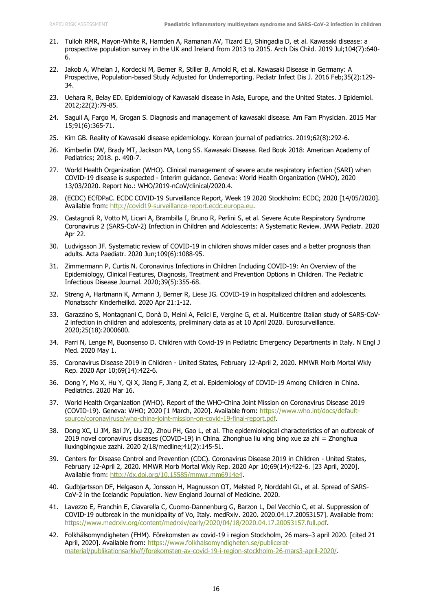- 21. Tulloh RMR, Mayon-White R, Harnden A, Ramanan AV, Tizard EJ, Shingadia D, et al. Kawasaki disease: a prospective population survey in the UK and Ireland from 2013 to 2015. Arch Dis Child. 2019 Jul;104(7):640- 6.
- 22. Jakob A, Whelan J, Kordecki M, Berner R, Stiller B, Arnold R, et al. Kawasaki Disease in Germany: A Prospective, Population-based Study Adjusted for Underreporting. Pediatr Infect Dis J. 2016 Feb;35(2):129- 34.
- 23. Uehara R, Belay ED. Epidemiology of Kawasaki disease in Asia, Europe, and the United States. J Epidemiol. 2012;22(2):79-85.
- 24. Saguil A, Fargo M, Grogan S. Diagnosis and management of kawasaki disease. Am Fam Physician. 2015 Mar 15;91(6):365-71.
- 25. Kim GB. Reality of Kawasaki disease epidemiology. Korean journal of pediatrics. 2019;62(8):292-6.
- 26. Kimberlin DW, Brady MT, Jackson MA, Long SS. Kawasaki Disease. Red Book 2018: American Academy of Pediatrics; 2018. p. 490-7.
- 27. World Health Organization (WHO). Clinical management of severe acute respiratory infection (SARI) when COVID-19 disease is suspected - Interim guidance. Geneva: World Health Organization (WHO), 2020 13/03/2020. Report No.: WHO/2019-nCoV/clinical/2020.4.
- 28. (ECDC) ECfDPaC. ECDC COVID-19 Surveillance Report, Week 19 2020 Stockholm: ECDC; 2020 [14/05/2020]. Available from: [http://covid19-surveillance-report.ecdc.europa.eu.](http://covid19-surveillance-report.ecdc.europa.eu/)
- 29. Castagnoli R, Votto M, Licari A, Brambilla I, Bruno R, Perlini S, et al. Severe Acute Respiratory Syndrome Coronavirus 2 (SARS-CoV-2) Infection in Children and Adolescents: A Systematic Review. JAMA Pediatr. 2020 Apr 22.
- 30. Ludvigsson JF. Systematic review of COVID-19 in children shows milder cases and a better prognosis than adults. Acta Paediatr. 2020 Jun;109(6):1088-95.
- 31. Zimmermann P, Curtis N. Coronavirus Infections in Children Including COVID-19: An Overview of the Epidemiology, Clinical Features, Diagnosis, Treatment and Prevention Options in Children. The Pediatric Infectious Disease Journal. 2020;39(5):355-68.
- 32. Streng A, Hartmann K, Armann J, Berner R, Liese JG. COVID-19 in hospitalized children and adolescents. Monatsschr Kinderheilkd. 2020 Apr 21:1-12.
- 33. Garazzino S, Montagnani C, Donà D, Meini A, Felici E, Vergine G, et al. Multicentre Italian study of SARS-CoV-2 infection in children and adolescents, preliminary data as at 10 April 2020. Eurosurveillance. 2020;25(18):2000600.
- 34. Parri N, Lenge M, Buonsenso D. Children with Covid-19 in Pediatric Emergency Departments in Italy. N Engl J Med. 2020 May 1.
- 35. Coronavirus Disease 2019 in Children United States, February 12-April 2, 2020. MMWR Morb Mortal Wkly Rep. 2020 Apr 10;69(14):422-6.
- 36. Dong Y, Mo X, Hu Y, Qi X, Jiang F, Jiang Z, et al. Epidemiology of COVID-19 Among Children in China. Pediatrics. 2020 Mar 16.
- 37. World Health Organization (WHO). Report of the WHO-China Joint Mission on Coronavirus Disease 2019 (COVID-19). Geneva: WHO; 2020 [1 March, 2020]. Available from: [https://www.who.int/docs/default](https://www.who.int/docs/default-source/coronaviruse/who-china-joint-mission-on-covid-19-final-report.pdf)[source/coronaviruse/who-china-joint-mission-on-covid-19-final-report.pdf.](https://www.who.int/docs/default-source/coronaviruse/who-china-joint-mission-on-covid-19-final-report.pdf)
- 38. Dong XC, Li JM, Bai JY, Liu ZQ, Zhou PH, Gao L, et al. The epidemiological characteristics of an outbreak of 2019 novel coronavirus diseases (COVID-19) in China. Zhonghua liu xing bing xue za zhi = Zhonghua liuxingbingxue zazhi. 2020 2/18/medline;41(2):145-51.
- 39. Centers for Disease Control and Prevention (CDC). Coronavirus Disease 2019 in Children United States, February 12-April 2, 2020. MMWR Morb Mortal Wkly Rep. 2020 Apr 10;69(14):422-6. [23 April, 2020]. Available from: [http://dx.doi.org/10.15585/mmwr.mm6914e4.](http://dx.doi.org/10.15585/mmwr.mm6914e4)
- 40. Gudbjartsson DF, Helgason A, Jonsson H, Magnusson OT, Melsted P, Norddahl GL, et al. Spread of SARS-CoV-2 in the Icelandic Population. New England Journal of Medicine. 2020.
- 41. Lavezzo E, Franchin E, Ciavarella C, Cuomo-Dannenburg G, Barzon L, Del Vecchio C, et al. Suppression of COVID-19 outbreak in the municipality of Vo, Italy. medRxiv. 2020. 2020.04.17.20053157]. Available from: [https://www.medrxiv.org/content/medrxiv/early/2020/04/18/2020.04.17.20053157.full.pdf.](https://www.medrxiv.org/content/medrxiv/early/2020/04/18/2020.04.17.20053157.full.pdf)
- 42. Folkhälsomyndigheten (FHM). Förekomsten av covid-19 i region Stockholm, 26 mars–3 april 2020. [cited 21 April, 2020]. Available from: [https://www.folkhalsomyndigheten.se/publicerat](https://www.folkhalsomyndigheten.se/publicerat-material/publikationsarkiv/f/forekomsten-av-covid-19-i-region-stockholm-26-mars3-april-2020/)[material/publikationsarkiv/f/forekomsten-av-covid-19-i-region-stockholm-26-mars3-april-2020/.](https://www.folkhalsomyndigheten.se/publicerat-material/publikationsarkiv/f/forekomsten-av-covid-19-i-region-stockholm-26-mars3-april-2020/)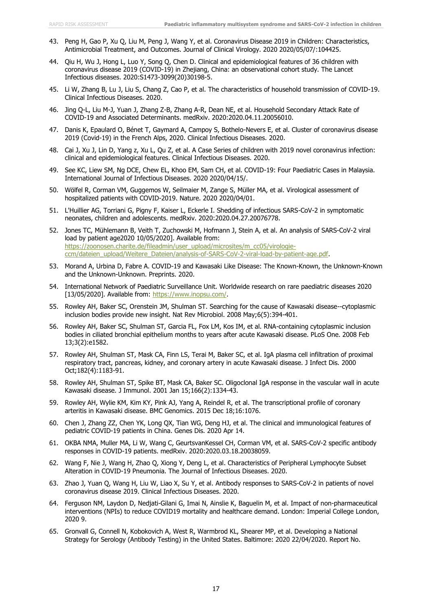- 43. Peng H, Gao P, Xu Q, Liu M, Peng J, Wang Y, et al. Coronavirus Disease 2019 in Children: Characteristics, Antimicrobial Treatment, and Outcomes. Journal of Clinical Virology. 2020 2020/05/07/:104425.
- 44. Qiu H, Wu J, Hong L, Luo Y, Song Q, Chen D. Clinical and epidemiological features of 36 children with coronavirus disease 2019 (COVID-19) in Zhejiang, China: an observational cohort study. The Lancet Infectious diseases. 2020:S1473-3099(20)30198-5.
- 45. Li W, Zhang B, Lu J, Liu S, Chang Z, Cao P, et al. The characteristics of household transmission of COVID-19. Clinical Infectious Diseases. 2020.
- 46. Jing Q-L, Liu M-J, Yuan J, Zhang Z-B, Zhang A-R, Dean NE, et al. Household Secondary Attack Rate of COVID-19 and Associated Determinants. medRxiv. 2020:2020.04.11.20056010.
- 47. Danis K, Epaulard O, Bénet T, Gaymard A, Campoy S, Bothelo-Nevers E, et al. Cluster of coronavirus disease 2019 (Covid-19) in the French Alps, 2020. Clinical Infectious Diseases. 2020.
- 48. Cai J, Xu J, Lin D, Yang z, Xu L, Qu Z, et al. A Case Series of children with 2019 novel coronavirus infection: clinical and epidemiological features. Clinical Infectious Diseases. 2020.
- 49. See KC, Liew SM, Ng DCE, Chew EL, Khoo EM, Sam CH, et al. COVID-19: Four Paediatric Cases in Malaysia. International Journal of Infectious Diseases. 2020 2020/04/15/.
- 50. Wölfel R, Corman VM, Guggemos W, Seilmaier M, Zange S, Müller MA, et al. Virological assessment of hospitalized patients with COVID-2019. Nature. 2020 2020/04/01.
- 51. L'Huillier AG, Torriani G, Pigny F, Kaiser L, Eckerle I. Shedding of infectious SARS-CoV-2 in symptomatic neonates, children and adolescents. medRxiv. 2020:2020.04.27.20076778.
- 52. Jones TC, Mühlemann B, Veith T, Zuchowski M, Hofmann J, Stein A, et al. An analysis of SARS-CoV-2 viral load by patient age2020 10/05/2020]. Available from: [https://zoonosen.charite.de/fileadmin/user\\_upload/microsites/m\\_cc05/virologie](https://zoonosen.charite.de/fileadmin/user_upload/microsites/m_cc05/virologie-ccm/dateien_upload/Weitere_Dateien/analysis-of-SARS-CoV-2-viral-load-by-patient-age.pdf)[ccm/dateien\\_upload/Weitere\\_Dateien/analysis-of-SARS-CoV-2-viral-load-by-patient-age.pdf.](https://zoonosen.charite.de/fileadmin/user_upload/microsites/m_cc05/virologie-ccm/dateien_upload/Weitere_Dateien/analysis-of-SARS-CoV-2-viral-load-by-patient-age.pdf)
- 53. Morand A, Urbina D, Fabre A. COVID-19 and Kawasaki Like Disease: The Known-Known, the Unknown-Known and the Unknown-Unknown. Preprints. 2020.
- 54. International Network of Paediatric Surveillance Unit. Worldwide research on rare paediatric diseases 2020 [13/05/2020]. Available from: [https://www.inopsu.com/.](https://www.inopsu.com/)
- 55. Rowley AH, Baker SC, Orenstein JM, Shulman ST. Searching for the cause of Kawasaki disease--cytoplasmic inclusion bodies provide new insight. Nat Rev Microbiol. 2008 May;6(5):394-401.
- 56. Rowley AH, Baker SC, Shulman ST, Garcia FL, Fox LM, Kos IM, et al. RNA-containing cytoplasmic inclusion bodies in ciliated bronchial epithelium months to years after acute Kawasaki disease. PLoS One. 2008 Feb 13;3(2):e1582.
- 57. Rowley AH, Shulman ST, Mask CA, Finn LS, Terai M, Baker SC, et al. IgA plasma cell infiltration of proximal respiratory tract, pancreas, kidney, and coronary artery in acute Kawasaki disease. J Infect Dis. 2000 Oct;182(4):1183-91.
- 58. Rowley AH, Shulman ST, Spike BT, Mask CA, Baker SC. Oligoclonal IgA response in the vascular wall in acute Kawasaki disease. J Immunol. 2001 Jan 15;166(2):1334-43.
- 59. Rowley AH, Wylie KM, Kim KY, Pink AJ, Yang A, Reindel R, et al. The transcriptional profile of coronary arteritis in Kawasaki disease. BMC Genomics. 2015 Dec 18;16:1076.
- 60. Chen J, Zhang ZZ, Chen YK, Long QX, Tian WG, Deng HJ, et al. The clinical and immunological features of pediatric COVID-19 patients in China. Genes Dis. 2020 Apr 14.
- 61. OKBA NMA, Muller MA, Li W, Wang C, GeurtsvanKessel CH, Corman VM, et al. SARS-CoV-2 specific antibody responses in COVID-19 patients. medRxiv. 2020:2020.03.18.20038059.
- 62. Wang F, Nie J, Wang H, Zhao Q, Xiong Y, Deng L, et al. Characteristics of Peripheral Lymphocyte Subset Alteration in COVID-19 Pneumonia. The Journal of Infectious Diseases. 2020.
- 63. Zhao J, Yuan Q, Wang H, Liu W, Liao X, Su Y, et al. Antibody responses to SARS-CoV-2 in patients of novel coronavirus disease 2019. Clinical Infectious Diseases. 2020.
- 64. Ferguson NM, Laydon D, Nedjati-Gilani G, Imai N, Ainslie K, Baguelin M, et al. Impact of non-pharmaceutical interventions (NPIs) to reduce COVID19 mortality and healthcare demand. London: Imperial College London, 2020 9.
- 65. Gronvall G, Connell N, Kobokovich A, West R, Warmbrod KL, Shearer MP, et al. Developing a National Strategy for Serology (Antibody Testing) in the United States. Baltimore: 2020 22/04/2020. Report No.